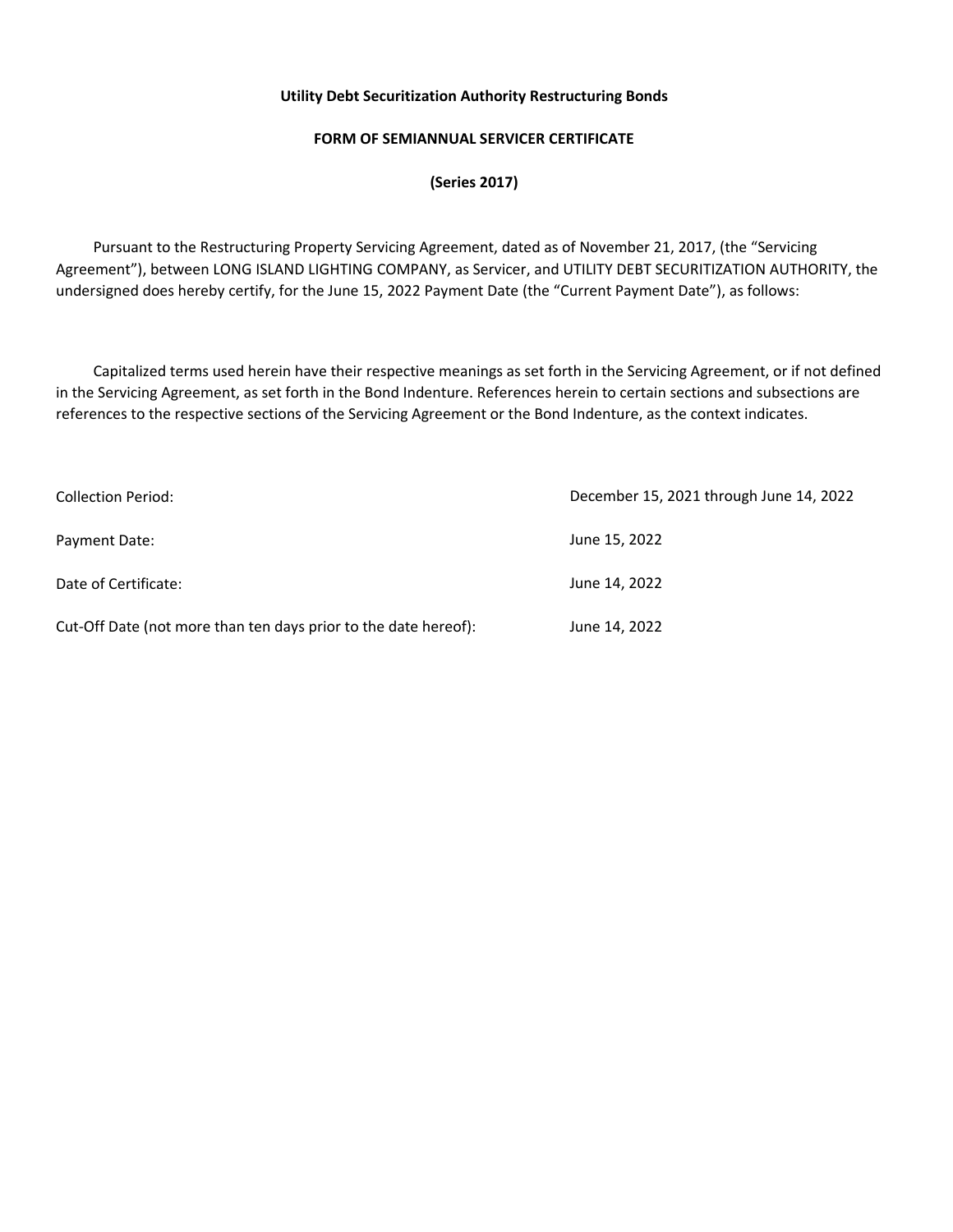# **FORM OF SEMIANNUAL SERVICER CERTIFICATE**

**(Series 2017)** 

 Pursuant to the Restructuring Property Servicing Agreement, dated as of November 21, 2017, (the "Servicing Agreement"), between LONG ISLAND LIGHTING COMPANY, as Servicer, and UTILITY DEBT SECURITIZATION AUTHORITY, the undersigned does hereby certify, for the June 15, 2022 Payment Date (the "Current Payment Date"), as follows:

 Capitalized terms used herein have their respective meanings as set forth in the Servicing Agreement, or if not defined in the Servicing Agreement, as set forth in the Bond Indenture. References herein to certain sections and subsections are references to the respective sections of the Servicing Agreement or the Bond Indenture, as the context indicates.

| <b>Collection Period:</b>                                       | December 15, 2021 through June 14, 2022 |  |  |
|-----------------------------------------------------------------|-----------------------------------------|--|--|
| Payment Date:                                                   | June 15, 2022                           |  |  |
| Date of Certificate:                                            | June 14, 2022                           |  |  |
| Cut-Off Date (not more than ten days prior to the date hereof): | June 14, 2022                           |  |  |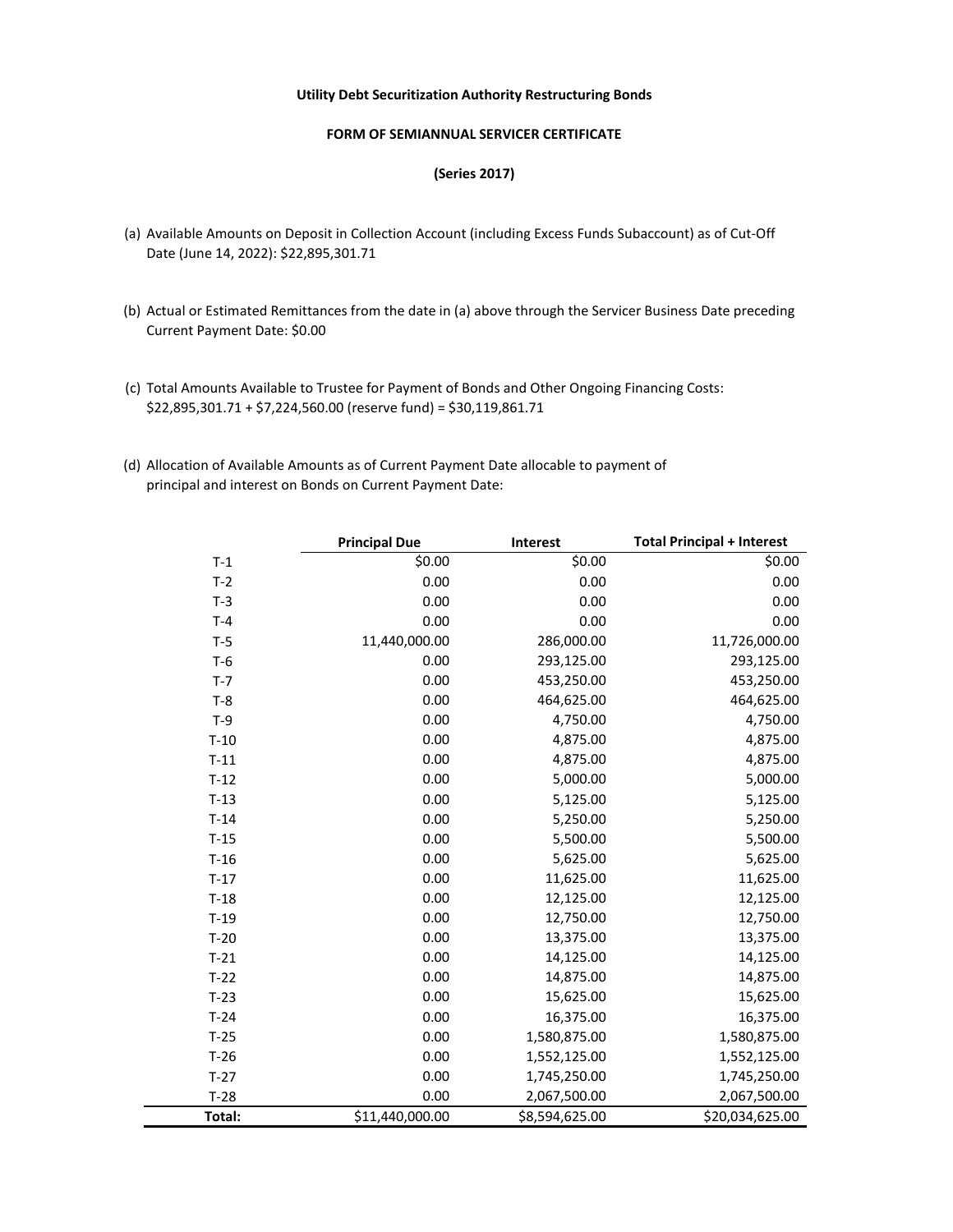#### **FORM OF SEMIANNUAL SERVICER CERTIFICATE**

### **(Series 2017)**

- (a) Available Amounts on Deposit in Collection Account (including Excess Funds Subaccount) as of Cut-Off Date (June 14, 2022): \$22,895,301.71
- (b) Actual or Estimated Remittances from the date in (a) above through the Servicer Business Date preceding Current Payment Date: \$0.00
- (c) Total Amounts Available to Trustee for Payment of Bonds and Other Ongoing Financing Costs: \$22,895,301.71 + \$7,224,560.00 (reserve fund) = \$30,119,861.71
- (d) Allocation of Available Amounts as of Current Payment Date allocable to payment of principal and interest on Bonds on Current Payment Date:

|        | <b>Principal Due</b> | Interest       | <b>Total Principal + Interest</b> |
|--------|----------------------|----------------|-----------------------------------|
| $T-1$  | \$0.00               | \$0.00         | \$0.00                            |
| $T-2$  | 0.00                 | 0.00           | 0.00                              |
| $T-3$  | 0.00                 | 0.00           | 0.00                              |
| $T-4$  | 0.00                 | 0.00           | 0.00                              |
| $T-5$  | 11,440,000.00        | 286,000.00     | 11,726,000.00                     |
| $T-6$  | 0.00                 | 293,125.00     | 293,125.00                        |
| $T-7$  | 0.00                 | 453,250.00     | 453,250.00                        |
| $T-8$  | 0.00                 | 464,625.00     | 464,625.00                        |
| $T-9$  | 0.00                 | 4,750.00       | 4,750.00                          |
| $T-10$ | 0.00                 | 4,875.00       | 4,875.00                          |
| $T-11$ | 0.00                 | 4,875.00       | 4,875.00                          |
| $T-12$ | 0.00                 | 5,000.00       | 5,000.00                          |
| $T-13$ | 0.00                 | 5,125.00       | 5,125.00                          |
| $T-14$ | 0.00                 | 5,250.00       | 5,250.00                          |
| $T-15$ | 0.00                 | 5,500.00       | 5,500.00                          |
| $T-16$ | 0.00                 | 5,625.00       | 5,625.00                          |
| $T-17$ | 0.00                 | 11,625.00      | 11,625.00                         |
| $T-18$ | 0.00                 | 12,125.00      | 12,125.00                         |
| $T-19$ | 0.00                 | 12,750.00      | 12,750.00                         |
| $T-20$ | 0.00                 | 13,375.00      | 13,375.00                         |
| $T-21$ | 0.00                 | 14,125.00      | 14,125.00                         |
| $T-22$ | 0.00                 | 14,875.00      | 14,875.00                         |
| $T-23$ | 0.00                 | 15,625.00      | 15,625.00                         |
| $T-24$ | 0.00                 | 16,375.00      | 16,375.00                         |
| $T-25$ | 0.00                 | 1,580,875.00   | 1,580,875.00                      |
| $T-26$ | 0.00                 | 1,552,125.00   | 1,552,125.00                      |
| $T-27$ | 0.00                 | 1,745,250.00   | 1,745,250.00                      |
| $T-28$ | 0.00                 | 2,067,500.00   | 2,067,500.00                      |
| Total: | \$11,440,000.00      | \$8,594,625.00 | \$20,034,625.00                   |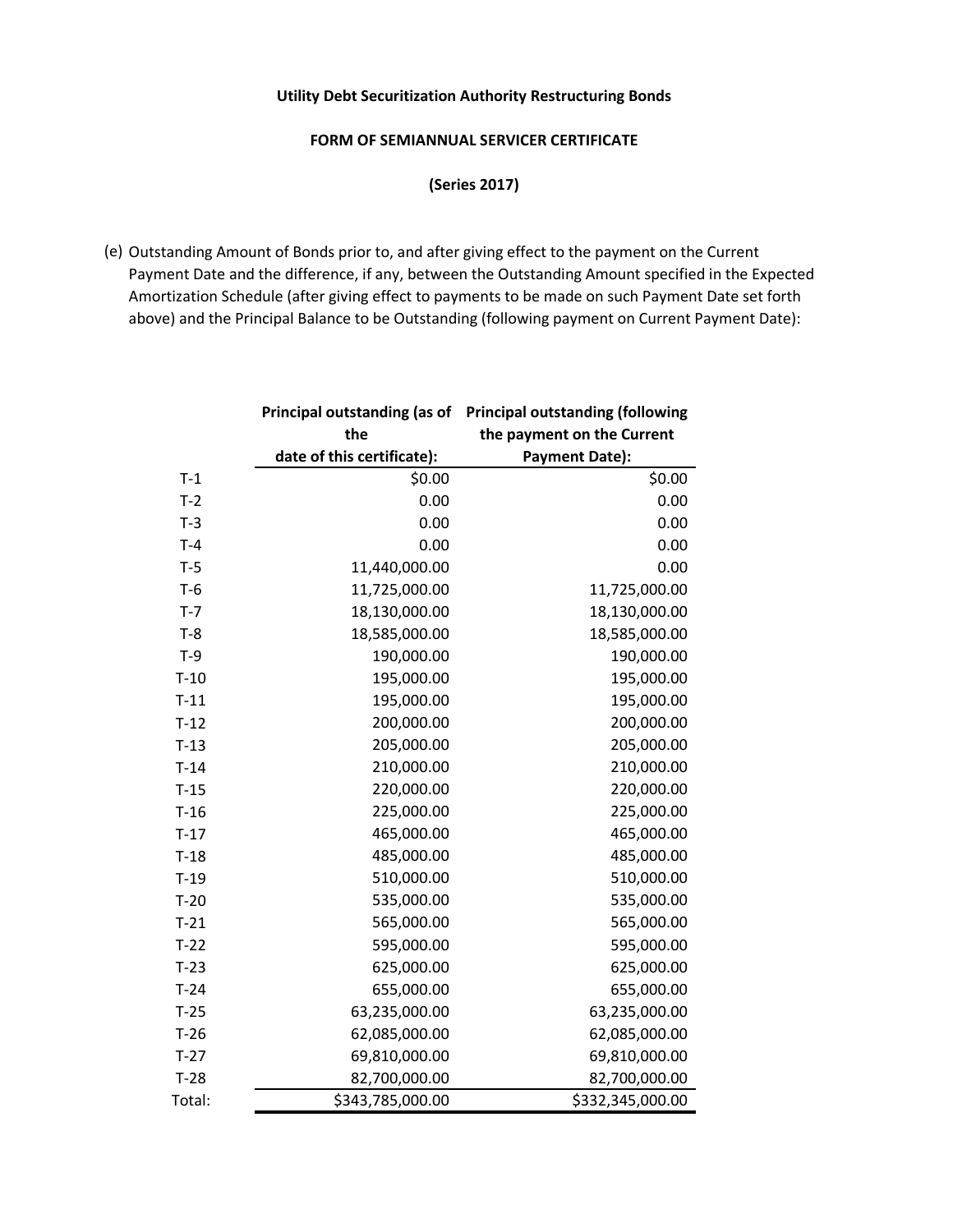## **FORM OF SEMIANNUAL SERVICER CERTIFICATE**

**(Series 2017)** 

(e) Outstanding Amount of Bonds prior to, and after giving effect to the payment on the Current Payment Date and the difference, if any, between the Outstanding Amount specified in the Expected Amortization Schedule (after giving effect to payments to be made on such Payment Date set forth above) and the Principal Balance to be Outstanding (following payment on Current Payment Date):

|        | Principal outstanding (as of | <b>Principal outstanding (following</b> |  |
|--------|------------------------------|-----------------------------------------|--|
|        | the                          | the payment on the Current              |  |
|        | date of this certificate):   | <b>Payment Date):</b>                   |  |
| $T-1$  | \$0.00                       | \$0.00                                  |  |
| $T-2$  | 0.00                         | 0.00                                    |  |
| $T-3$  | 0.00                         | 0.00                                    |  |
| $T-4$  | 0.00                         | 0.00                                    |  |
| $T-5$  | 11,440,000.00                | 0.00                                    |  |
| $T-6$  | 11,725,000.00                | 11,725,000.00                           |  |
| $T-7$  | 18,130,000.00                | 18,130,000.00                           |  |
| $T-8$  | 18,585,000.00                | 18,585,000.00                           |  |
| $T-9$  | 190,000.00                   | 190,000.00                              |  |
| $T-10$ | 195,000.00                   | 195,000.00                              |  |
| $T-11$ | 195,000.00                   | 195,000.00                              |  |
| $T-12$ | 200,000.00                   | 200,000.00                              |  |
| $T-13$ | 205,000.00                   | 205,000.00                              |  |
| $T-14$ | 210,000.00                   | 210,000.00                              |  |
| $T-15$ | 220,000.00                   | 220,000.00                              |  |
| $T-16$ | 225,000.00                   | 225,000.00                              |  |
| $T-17$ | 465,000.00                   | 465,000.00                              |  |
| $T-18$ | 485,000.00                   | 485,000.00                              |  |
| $T-19$ | 510,000.00                   | 510,000.00                              |  |
| $T-20$ | 535,000.00                   | 535,000.00                              |  |
| $T-21$ | 565,000.00                   | 565,000.00                              |  |
| $T-22$ | 595,000.00                   | 595,000.00                              |  |
| $T-23$ | 625,000.00                   | 625,000.00                              |  |
| $T-24$ | 655,000.00                   | 655,000.00                              |  |
| $T-25$ | 63,235,000.00                | 63,235,000.00                           |  |
| $T-26$ | 62,085,000.00                | 62,085,000.00                           |  |
| $T-27$ | 69,810,000.00                | 69,810,000.00                           |  |
| $T-28$ | 82,700,000.00                | 82,700,000.00                           |  |
| Total: | \$343,785,000.00             | \$332,345,000.00                        |  |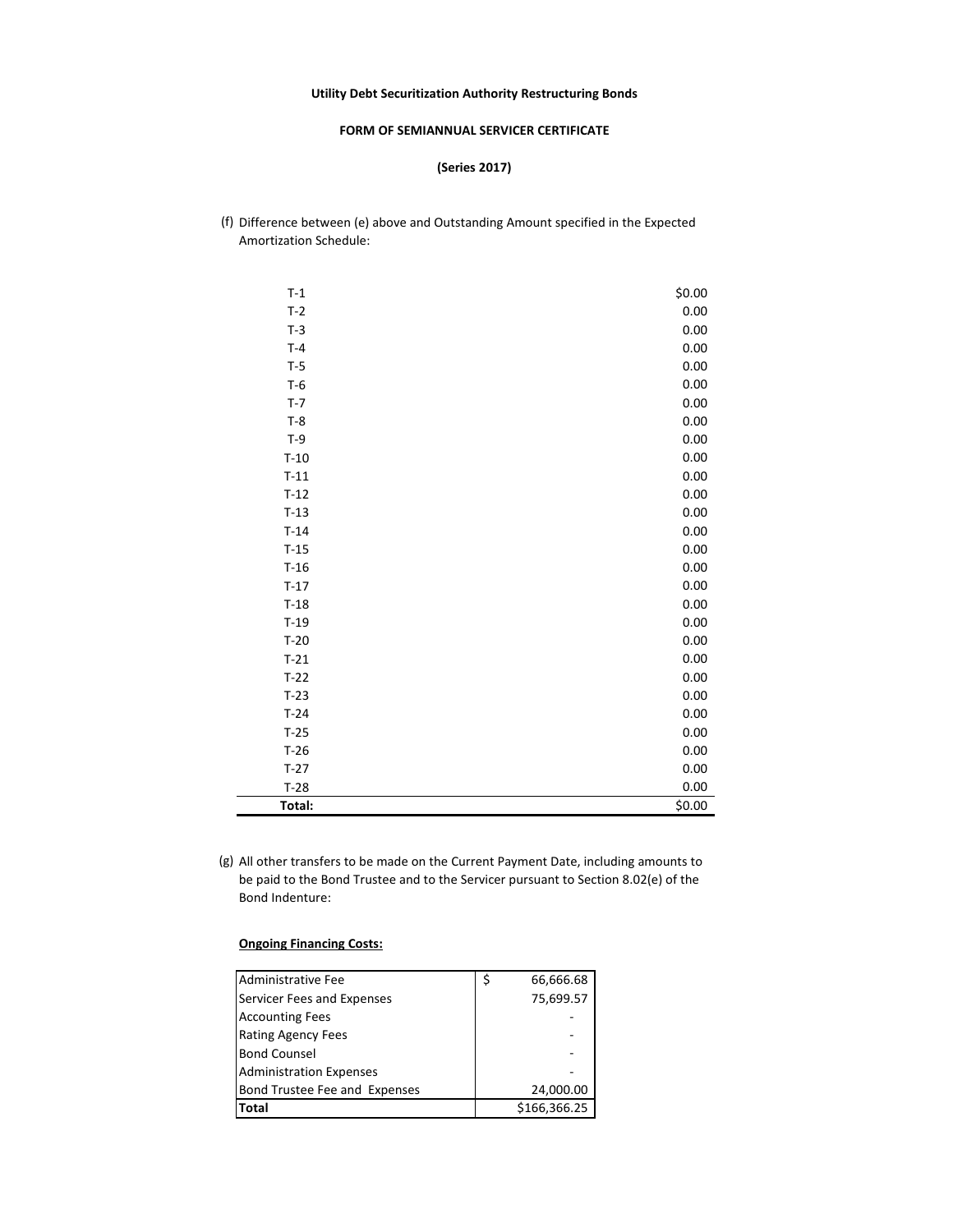#### **FORM OF SEMIANNUAL SERVICER CERTIFICATE**

#### **(Series 2017)**

(f) Difference between (e) above and Outstanding Amount specified in the Expected Amortization Schedule:

| $T-1$  | \$0.00 |
|--------|--------|
| $T-2$  | 0.00   |
| $T-3$  | 0.00   |
| $T-4$  | 0.00   |
| $T-5$  | 0.00   |
| $T-6$  | 0.00   |
| $T-7$  | 0.00   |
| $T-8$  | 0.00   |
| $T-9$  | 0.00   |
| $T-10$ | 0.00   |
| $T-11$ | 0.00   |
| $T-12$ | 0.00   |
| $T-13$ | 0.00   |
| $T-14$ | 0.00   |
| $T-15$ | 0.00   |
| $T-16$ | 0.00   |
| $T-17$ | 0.00   |
| $T-18$ | 0.00   |
| $T-19$ | 0.00   |
| $T-20$ | 0.00   |
| $T-21$ | 0.00   |
| $T-22$ | 0.00   |
| $T-23$ | 0.00   |
| $T-24$ | 0.00   |
| $T-25$ | 0.00   |
| $T-26$ | 0.00   |
| $T-27$ | 0.00   |
| $T-28$ | 0.00   |
| Total: | \$0.00 |

(g) All other transfers to be made on the Current Payment Date, including amounts to be paid to the Bond Trustee and to the Servicer pursuant to Section 8.02(e) of the Bond Indenture:

| Administrative Fee             | \$<br>66,666.68 |
|--------------------------------|-----------------|
| Servicer Fees and Expenses     | 75,699.57       |
| <b>Accounting Fees</b>         |                 |
| <b>Rating Agency Fees</b>      |                 |
| <b>Bond Counsel</b>            |                 |
| <b>Administration Expenses</b> |                 |
| Bond Trustee Fee and Expenses  | 24,000.00       |
| Total                          | \$166,366.25    |

#### **Ongoing Financing Costs:**